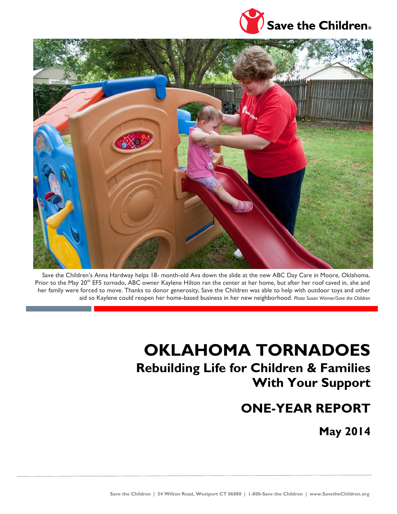



Save the Children's Anna Hardway helps 18- month-old Ava down the slide at the new ABC Day Care in Moore, Oklahoma. Prior to the May 20<sup>th</sup> EF5 tornado, ABC owner Kaylene Hilton ran the center at her home, but after her roof caved in, she and her family were forced to move. Thanks to donor generosity, Save the Children was able to help with outdoor toys and other aid so Kaylene could reopen her home-based business in her new neighborhood. *Photo Susan Warner/Save the Children*

# **OKLAHOMA TORNADOES Rebuilding Life for Children & Families With Your Support**

## **ONE-YEAR REPORT**

**May 2014**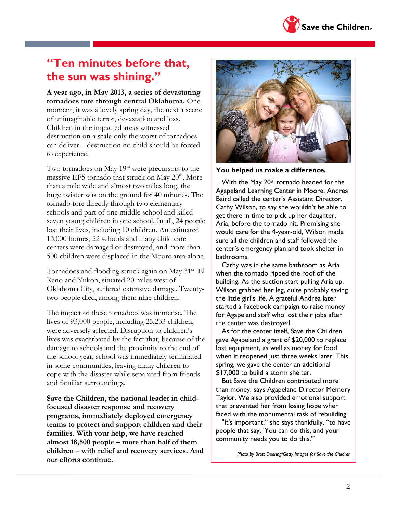### **"Ten minutes before that, the sun was shining."**

**A year ago, in May 2013, a series of devastating tornadoes tore through central Oklahoma.** One moment, it was a lovely spring day, the next a scene of unimaginable terror, devastation and loss. Children in the impacted areas witnessed destruction on a scale only the worst of tornadoes can deliver – destruction no child should be forced to experience.

Two tornadoes on May 19<sup>th</sup> were precursors to the massive EF5 tornado that struck on May 20<sup>th</sup>. More than a mile wide and almost two miles long, the huge twister was on the ground for 40 minutes. The tornado tore directly through two elementary schools and part of one middle school and killed seven young children in one school. In all, 24 people lost their lives, including 10 children. An estimated 13,000 homes, 22 schools and many child care centers were damaged or destroyed, and more than 500 children were displaced in the Moore area alone.

Tornadoes and flooding struck again on May 31<sup>st</sup>. El Reno and Yukon, situated 20 miles west of Oklahoma City, suffered extensive damage. Twentytwo people died, among them nine children.

The impact of these tornadoes was immense. The lives of 93,000 people, including 25,233 children, were adversely affected. Disruption to children's lives was exacerbated by the fact that, because of the damage to schools and the proximity to the end of the school year, school was immediately terminated in some communities, leaving many children to cope with the disaster while separated from friends and familiar surroundings.

**Save the Children, the national leader in childfocused disaster response and recovery programs, immediately deployed emergency teams to protect and support children and their families. With your help, we have reached almost 18,500 people – more than half of them children – with relief and recovery services. And our efforts continue.**

**You helped us make a difference.**

With the May 20<sup>th</sup> tornado headed for the Agapeland Learning Center in Moore, Andrea Baird called the center's Assistant Director, Cathy Wilson, to say she wouldn't be able to get there in time to pick up her daughter, Aria, before the tornado hit. Promising she would care for the 4-year-old, Wilson made sure all the children and staff followed the center's emergency plan and took shelter in bathrooms.

Cathy was in the same bathroom as Aria when the tornado ripped the roof off the building. As the suction start pulling Aria up, Wilson grabbed her leg, quite probably saving the little girl's life. A grateful Andrea later started a Facebook campaign to raise money for Agapeland staff who lost their jobs after the center was destroyed.

As for the center itself, Save the Children gave Agapeland a grant of \$20,000 to replace lost equipment, as well as money for food when it reopened just three weeks later. This spring, we gave the center an additional \$17,000 to build a storm shelter.

But Save the Children contributed more than money, says Agapeland Director Memory Taylor. We also provided emotional support that prevented her from losing hope when faced with the monumental task of rebuilding.

"It's important," she says thankfully, "to have people that say, 'You can do this, and your community needs you to do this.'"

*Photo by Brett Deering/Getty Images for Save the Children*

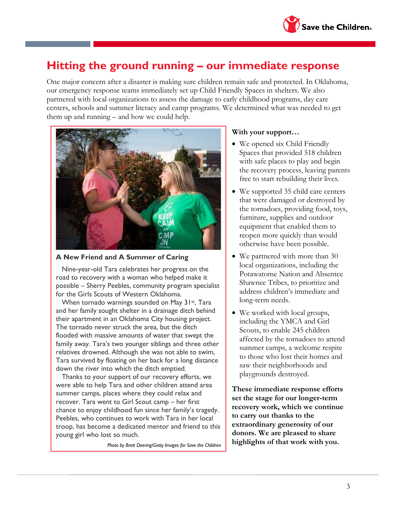

### **Hitting the ground running – our immediate response**

One major concern after a disaster is making sure children remain safe and protected. In Oklahoma, our emergency response teams immediately set up Child Friendly Spaces in shelters. We also partnered with local organizations to assess the damage to early childhood programs, day care centers, schools and summer literacy and camp programs. We determined what was needed to get them up and running – and how we could help.



**A New Friend and A Summer of Caring**

Nine-year-old Tara celebrates her progress on the road to recovery with a woman who helped make it possible – Sherry Peebles, community program specialist for the Girls Scouts of Western Oklahoma.

When tornado warnings sounded on May 31st, Tara and her family sought shelter in a drainage ditch behind their apartment in an Oklahoma City housing project. The tornado never struck the area, but the ditch flooded with massive amounts of water that swept the family away. Tara's two younger siblings and three other relatives drowned. Although she was not able to swim, Tara survived by floating on her back for a long distance down the river into which the ditch emptied.

Thanks to your support of our recovery efforts, we were able to help Tara and other children attend area summer camps, places where they could relax and recover. Tara went to Girl Scout camp – her first chance to enjoy childhood fun since her family's tragedy. Peebles, who continues to work with Tara in her local troop, has become a dedicated mentor and friend to this young girl who lost so much.

*Photo by Brett Deering/Getty Images for Save the Children*

#### **With your support…**

- We opened six Child Friendly Spaces that provided 518 children with safe places to play and begin the recovery process, leaving parents free to start rebuilding their lives.
- We supported 35 child care centers that were damaged or destroyed by the tornadoes, providing food, toys, furniture, supplies and outdoor equipment that enabled them to reopen more quickly than would otherwise have been possible.
- We partnered with more than 30 local organizations, including the Potawatome Nation and Absentee Shawnee Tribes, to prioritize and address children's immediate and long-term needs.
- We worked with local groups, including the YMCA and Girl Scouts, to enable 245 children affected by the tornadoes to attend summer camps, a welcome respite to those who lost their homes and saw their neighborhoods and playgrounds destroyed.

**These immediate response efforts set the stage for our longer-term recovery work, which we continue to carry out thanks to the extraordinary generosity of our donors. We are pleased to share highlights of that work with you.**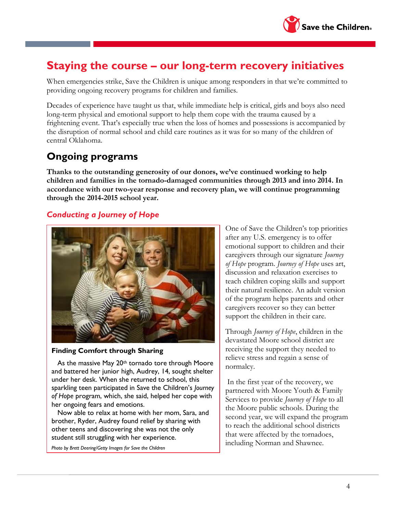

### **Staying the course – our long-term recovery initiatives**

When emergencies strike, Save the Children is unique among responders in that we're committed to providing ongoing recovery programs for children and families.

Decades of experience have taught us that, while immediate help is critical, girls and boys also need long-term physical and emotional support to help them cope with the trauma caused by a frightening event. That's especially true when the loss of homes and possessions is accompanied by the disruption of normal school and child care routines as it was for so many of the children of central Oklahoma.

### **Ongoing programs**

**Thanks to the outstanding generosity of our donors, we've continued working to help children and families in the tornado-damaged communities through 2013 and into 2014. In accordance with our two-year response and recovery plan, we will continue programming through the 2014-2015 school year.**

#### *Conducting a Journey of Hope*



#### **Finding Comfort through Sharing**

As the massive May 20<sup>th</sup> tornado tore through Moore and battered her junior high, Audrey, 14, sought shelter under her desk. When she returned to school, this sparkling teen participated in Save the Children's *Journey of Hope* program, which, she said, helped her cope with her ongoing fears and emotions.

Now able to relax at home with her mom, Sara, and brother, Ryder, Audrey found relief by sharing with other teens and discovering she was not the only student still struggling with her experience.

*Photo by Brett Deering/Getty Images for Save the Children*

One of Save the Children's top priorities after any U.S. emergency is to offer emotional support to children and their caregivers through our signature *Journey of Hope* program. *Journey of Hope* uses art, discussion and relaxation exercises to teach children coping skills and support their natural resilience. An adult version of the program helps parents and other caregivers recover so they can better support the children in their care.

Through *Journey of Hope*, children in the devastated Moore school district are receiving the support they needed to relieve stress and regain a sense of normalcy.

In the first year of the recovery, we partnered with Moore Youth & Family Services to provide *Journey of Hope* to all the Moore public schools. During the second year, we will expand the program to reach the additional school districts that were affected by the tornadoes, including Norman and Shawnee.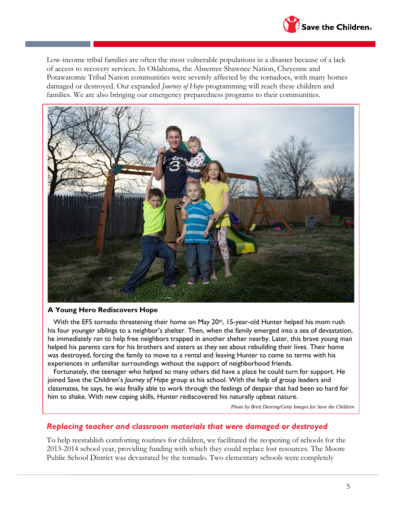

Low-income tribal families are often the most vulnerable populations in a disaster because of a lack of access to recovery services. In Oklahoma, the Absentee Shawnee Nation, Cheyenne and Potawatomie Tribal Nation communities were severely affected by the tornadoes, with many homes damaged or destroyed. Our expanded *Journey of Hope* programming will reach these children and families. We are also bringing our emergency preparedness programs to their communities.



#### **A Young Hero Rediscovers Hope**

With the EF5 tornado threatening their home on May  $20<sup>th</sup>$ , 15-year-old Hunter helped his mom rush his four younger siblings to a neighbor's shelter. Then, when the family emerged into a sea of devastation, he immediately ran to help free neighbors trapped in another shelter nearby. Later, this brave young man helped his parents care for his brothers and sisters as they set about rebuilding their lives. Their home was destroyed, forcing the family to move to a rental and leaving Hunter to come to terms with his experiences in unfamiliar surroundings without the support of neighborhood friends.

Fortunately, the teenager who helped so many others did have a place he could turn for support. He joined Save the Children's *Journey of Hope* group at his school. With the help of group leaders and classmates, he says, he was finally able to work through the feelings of despair that had been so hard for him to shake. With new coping skills, Hunter rediscovered his naturally upbeat nature.

*Photo by Brett Deering/Getty Images for Save the Children*

#### *Replacing teacher and classroom materials that were damaged or destroyed*

To help reestablish comforting routines for children, we facilitated the reopening of schools for the 2013-2014 school year, providing funding with which they could replace lost resources. The Moore Public School District was devastated by the tornado. Two elementary schools were completely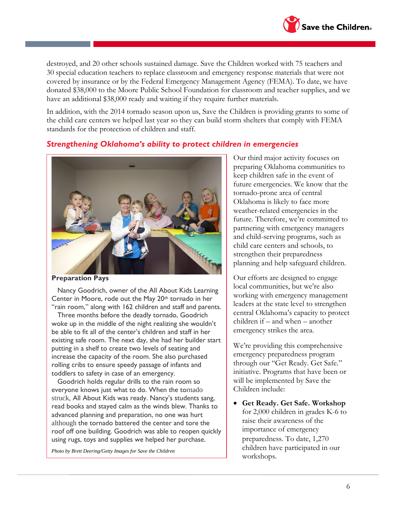

destroyed, and 20 other schools sustained damage. Save the Children worked with 75 teachers and 30 special education teachers to replace classroom and emergency response materials that were not covered by insurance or by the Federal Emergency Management Agency (FEMA). To date, we have donated \$38,000 to the Moore Public School Foundation for classroom and teacher supplies, and we have an additional \$38,000 ready and waiting if they require further materials.

In addition, with the 2014 tornado season upon us, Save the Children is providing grants to some of the child care centers we helped last year so they can build storm shelters that comply with FEMA standards for the protection of children and staff.

#### *Strengthening Oklahoma's ability to protect children in emergencies*



**Preparation Pays**

Nancy Goodrich, owner of the All About Kids Learning Center in Moore, rode out the May 20th tornado in her "rain room," along with 162 children and staff and parents.

Three months before the deadly tornado, Goodrich woke up in the middle of the night realizing she wouldn't be able to fit all of the center's children and staff in her existing safe room. The next day, she had her builder start putting in a shelf to create two levels of seating and increase the capacity of the room. She also purchased rolling cribs to ensure speedy passage of infants and toddlers to safety in case of an emergency.

Goodrich holds regular drills to the rain room so everyone knows just what to do. When the tornado struck, All About Kids was ready. Nancy's students sang, read books and stayed calm as the winds blew. Thanks to advanced planning and preparation, no one was hurt although the tornado battered the center and tore the roof off one building. Goodrich was able to reopen quickly using rugs, toys and supplies we helped her purchase.

*Photo by Brett Deering/Getty Images for Save the Children*

Our third major activity focuses on preparing Oklahoma communities to keep children safe in the event of future emergencies. We know that the tornado-prone area of central Oklahoma is likely to face more weather-related emergencies in the future. Therefore, we're committed to partnering with emergency managers and child-serving programs, such as child care centers and schools, to strengthen their preparedness planning and help safeguard children.

Our efforts are designed to engage local communities, but we're also working with emergency management leaders at the state level to strengthen central Oklahoma's capacity to protect children if – and when – another emergency strikes the area.

We're providing this comprehensive emergency preparedness program through our "Get Ready. Get Safe." initiative. Programs that have been or will be implemented by Save the Children include:

 **Get Ready. Get Safe. Workshop**  for 2,000 children in grades K-6 to raise their awareness of the importance of emergency preparedness. To date, 1,270 children have participated in our workshops.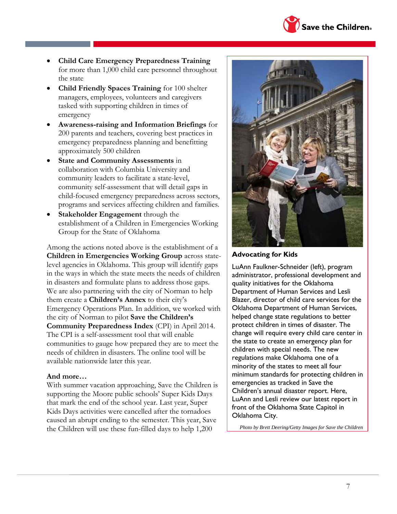

- **Child Care Emergency Preparedness Training** for more than 1,000 child care personnel throughout the state
- **Child Friendly Spaces Training** for 100 shelter managers, employees, volunteers and caregivers tasked with supporting children in times of emergency
- **Awareness-raising and Information Briefings** for 200 parents and teachers, covering best practices in emergency preparedness planning and benefitting approximately 500 children
- **State and Community Assessments** in collaboration with Columbia University and community leaders to facilitate a state-level, community self-assessment that will detail gaps in child-focused emergency preparedness across sectors, programs and services affecting children and families.
- **Stakeholder Engagement** through the establishment of a Children in Emergencies Working Group for the State of Oklahoma

Among the actions noted above is the establishment of a **Children in Emergencies Working Group** across statelevel agencies in Oklahoma. This group will identify gaps in the ways in which the state meets the needs of children in disasters and formulate plans to address those gaps. We are also partnering with the city of Norman to help them create a **Children's Annex** to their city's Emergency Operations Plan. In addition, we worked with the city of Norman to pilot **Save the Children's Community Preparedness Index** (CPI) in April 2014. The CPI is a self-assessment tool that will enable communities to gauge how prepared they are to meet the needs of children in disasters. The online tool will be available nationwide later this year.

#### **And more…**

With summer vacation approaching, Save the Children is supporting the Moore public schools' Super Kids Days that mark the end of the school year. Last year, Super Kids Days activities were cancelled after the tornadoes caused an abrupt ending to the semester. This year, Save the Children will use these fun-filled days to help 1,200



#### **Advocating for Kids**

LuAnn Faulkner-Schneider (left), program administrator, professional development and quality initiatives for the Oklahoma Department of Human Services and Lesli Blazer, director of child care services for the Oklahoma Department of Human Services, helped change state regulations to better protect children in times of disaster. The change will require every child care center in the state to create an emergency plan for children with special needs. The new regulations make Oklahoma one of a minority of the states to meet all four minimum standards for protecting children in emergencies as tracked in Save the Children's annual disaster report. Here, LuAnn and Lesli review our latest report in front of the Oklahoma State Capitol in Oklahoma City.

*Photo by Brett Deering/Getty Images for Save the Children*